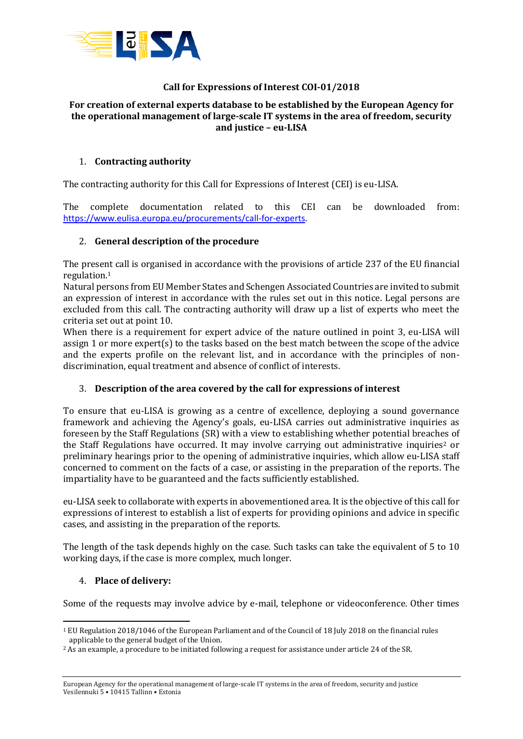

# **Call for Expressions of Interest COI-01/2018**

#### **For creation of external experts database to be established by the European Agency for the operational management of large-scale IT systems in the area of freedom, security and justice – eu-LISA**

#### 1. **Contracting authority**

The contracting authority for this Call for Expressions of Interest (CEI) is eu-LISA.

The complete documentation related to this CEI can be downloaded from: <https://www.eulisa.europa.eu/procurements/call-for-experts>.

#### 2. **General description of the procedure**

The present call is organised in accordance with the provisions of article 237 of the EU financial regulation. 1

Natural persons from EU Member States and Schengen Associated Countries are invited to submit an expression of interest in accordance with the rules set out in this notice. Legal persons are excluded from this call. The contracting authority will draw up a list of experts who meet the criteria set out at point 10.

When there is a requirement for expert advice of the nature outlined in point 3, eu-LISA will assign 1 or more expert(s) to the tasks based on the best match between the scope of the advice and the experts profile on the relevant list, and in accordance with the principles of nondiscrimination, equal treatment and absence of conflict of interests.

### 3. **Description of the area covered by the call for expressions of interest**

To ensure that eu-LISA is growing as a centre of excellence, deploying a sound governance framework and achieving the Agency's goals, eu-LISA carries out administrative inquiries as foreseen by the Staff Regulations (SR) with a view to establishing whether potential breaches of the Staff Regulations have occurred. It may involve carrying out administrative inquiries<sup>2</sup> or preliminary hearings prior to the opening of administrative inquiries, which allow eu-LISA staff concerned to comment on the facts of a case, or assisting in the preparation of the reports. The impartiality have to be guaranteed and the facts sufficiently established.

eu-LISA seek to collaborate with experts in abovementioned area. It is the objective of this call for expressions of interest to establish a list of experts for providing opinions and advice in specific cases, and assisting in the preparation of the reports.

The length of the task depends highly on the case. Such tasks can take the equivalent of 5 to 10 working days, if the case is more complex, much longer.

#### 4. **Place of delivery:**

**.** 

Some of the requests may involve advice by e-mail, telephone or videoconference. Other times

<sup>1</sup> EU Regulation 2018/1046 of the European Parliament and of the Council of 18 July 2018 on the financial rules applicable to the general budget of the Union.

<sup>2</sup> As an example, a procedure to be initiated following a request for assistance under article 24 of the SR.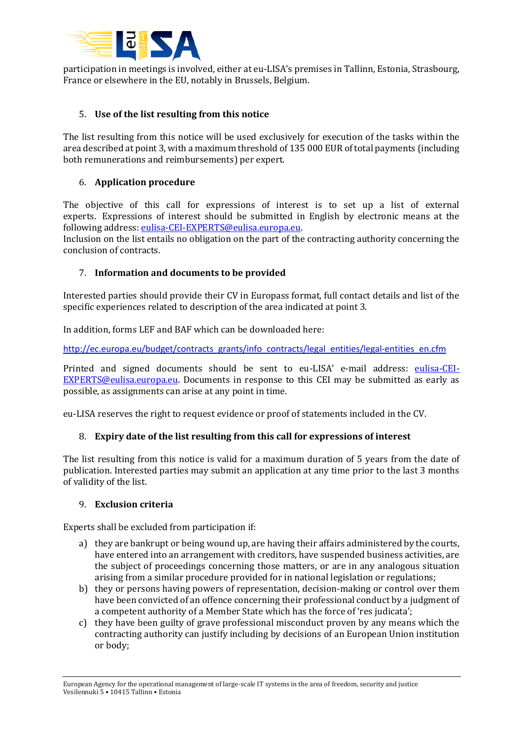

participation in meetings is involved, either at eu-LISA's premises in Tallinn, Estonia, Strasbourg, France or elsewhere in the EU, notably in Brussels, Belgium.

### 5. **Use of the list resulting from this notice**

The list resulting from this notice will be used exclusively for execution of the tasks within the area described at point 3, with a maximum threshold of 135 000 EUR of total payments (including both remunerations and reimbursements) per expert.

#### 6. **Application procedure**

The objective of this call for expressions of interest is to set up a list of external experts. Expressions of interest should be submitted in English by electronic means at the following address: [eulisa-CEI-EXPERTS@eulisa.europa.eu.](mailto:eulisa-CEI-EXPERTS@eulisa.europa.eu)

Inclusion on the list entails no obligation on the part of the contracting authority concerning the conclusion of contracts.

#### 7. **Information and documents to be provided**

Interested parties should provide their CV in Europass format, full contact details and list of the specific experiences related to description of the area indicated at point 3.

In addition, forms LEF and BAF which can be downloaded here:

[http://ec.europa.eu/budget/contracts\\_grants/info\\_contracts/legal\\_entities/legal-entities\\_en.cfm](http://ec.europa.eu/budget/contracts_grants/info_contracts/legal_entities/legal-entities_en.cfm)

Printed and signed documents should be sent to eu-LISA' e-mail address: [eulisa-CEI-](mailto:eulisa-CEI-EXPERTS@eulisa.europa.eu)[EXPERTS@eulisa.europa.eu.](mailto:eulisa-CEI-EXPERTS@eulisa.europa.eu) Documents in response to this CEI may be submitted as early as possible, as assignments can arise at any point in time.

eu-LISA reserves the right to request evidence or proof of statements included in the CV.

### 8. **Expiry date of the list resulting from this call for expressions of interest**

The list resulting from this notice is valid for a maximum duration of 5 years from the date of publication. Interested parties may submit an application at any time prior to the last 3 months of validity of the list.

#### 9. **Exclusion criteria**

Experts shall be excluded from participation if:

- a) they are bankrupt or being wound up, are having their affairs administered by the courts, have entered into an arrangement with creditors, have suspended business activities, are the subject of proceedings concerning those matters, or are in any analogous situation arising from a similar procedure provided for in national legislation or regulations;
- b) they or persons having powers of representation, decision-making or control over them have been convicted of an offence concerning their professional conduct by a judgment of a competent authority of a Member State which has the force of 'res judicata';
- c) they have been guilty of grave professional misconduct proven by any means which the contracting authority can justify including by decisions of an European Union institution or body;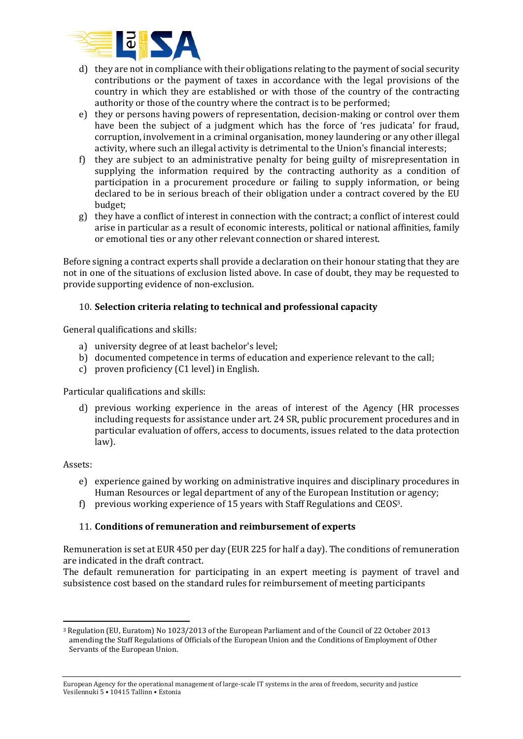

- d) they are not in compliance with their obligations relating to the payment of social security contributions or the payment of taxes in accordance with the legal provisions of the country in which they are established or with those of the country of the contracting authority or those of the country where the contract is to be performed;
- e) they or persons having powers of representation, decision-making or control over them have been the subject of a judgment which has the force of 'res judicata' for fraud, corruption, involvement in a criminal organisation, money laundering or any other illegal activity, where such an illegal activity is detrimental to the Union's financial interests;
- f) they are subject to an administrative penalty for being guilty of misrepresentation in supplying the information required by the contracting authority as a condition of participation in a procurement procedure or failing to supply information, or being declared to be in serious breach of their obligation under a contract covered by the EU budget;
- g) they have a conflict of interest in connection with the contract; a conflict of interest could arise in particular as a result of economic interests, political or national affinities, family or emotional ties or any other relevant connection or shared interest.

Before signing a contract experts shall provide a declaration on their honour stating that they are not in one of the situations of exclusion listed above. In case of doubt, they may be requested to provide supporting evidence of non-exclusion.

# 10. **Selection criteria relating to technical and professional capacity**

General qualifications and skills:

- a) university degree of at least bachelor's level;
- b) documented competence in terms of education and experience relevant to the call;
- c) proven proficiency (C1 level) in English.

Particular qualifications and skills:

d) previous working experience in the areas of interest of the Agency (HR processes including requests for assistance under art. 24 SR, public procurement procedures and in particular evaluation of offers, access to documents, issues related to the data protection law).

Assets:

- e) experience gained by working on administrative inquires and disciplinary procedures in Human Resources or legal department of any of the European Institution or agency;
- f) previous working experience of 15 years with Staff Regulations and CEOS3.

### 11. **Conditions of remuneration and reimbursement of experts**

Remuneration is set at EUR 450 per day (EUR 225 for half a day). The conditions of remuneration are indicated in the draft contract.

The default remuneration for participating in an expert meeting is payment of travel and subsistence cost based on the standard rules for reimbursement of meeting participants

**<sup>.</sup>** <sup>3</sup> Regulation (EU, Euratom) No 1023/2013 of the European Parliament and of the Council of 22 October 2013 amending the Staff Regulations of Officials of the European Union and the Conditions of Employment of Other Servants of the European Union.

European Agency for the operational management of large-scale IT systems in the area of freedom, security and justice Vesilennuki 5 • 10415 Tallinn • Estonia